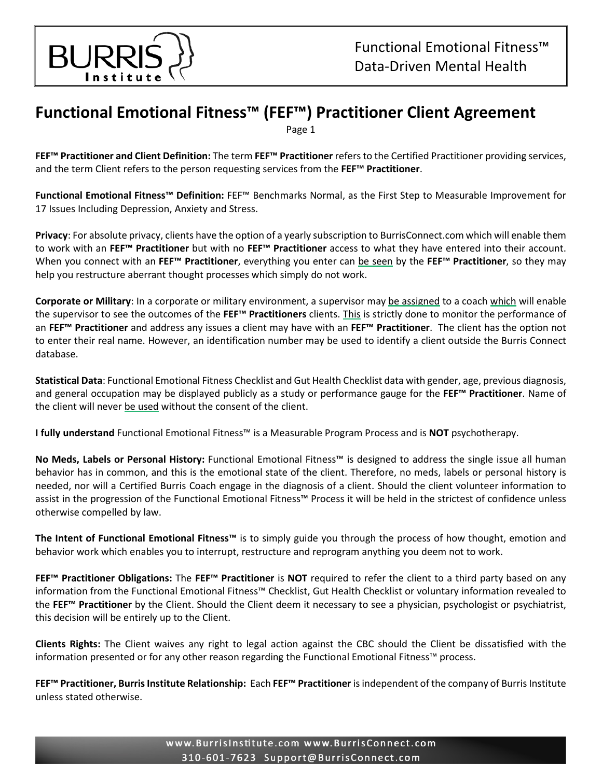

## **Functional Emotional Fitness™ (FEF™) Practitioner Client Agreement**

Page 1

**FEF™ Practitioner and Client Definition:** The term **FEF™ Practitioner** refers to the Certified Practitioner providing services, and the term Client refers to the person requesting services from the **FEF™ Practitioner**.

**Functional Emotional Fitness™ Definition:** FEF™ Benchmarks Normal, as the First Step to Measurable Improvement for 17 Issues Including Depression, Anxiety and Stress.

**Privacy**: For absolute privacy, clients have the option of a yearly subscription to BurrisConnect.com which will enable them to work with an **FEF™ Practitioner** but with no **FEF™ Practitioner** access to what they have entered into their account. When you connect with an **FEF™ Practitioner**, everything you enter can be seen by the **FEF™ Practitioner**, so they may help you restructure aberrant thought processes which simply do not work.

**Corporate or Military**: In a corporate or military environment, a supervisor may be assigned to a coach which will enable the supervisor to see the outcomes of the **FEF™ Practitioners** clients. This is strictly done to monitor the performance of an **FEF™ Practitioner** and address any issues a client may have with an **FEF™ Practitioner**. The client has the option not to enter their real name. However, an identification number may be used to identify a client outside the Burris Connect database.

**Statistical Data**: Functional Emotional Fitness Checklist and Gut Health Checklist data with gender, age, previous diagnosis, and general occupation may be displayed publicly as a study or performance gauge for the **FEF™ Practitioner**. Name of the client will never be used without the consent of the client.

**I fully understand** Functional Emotional Fitness™ is a Measurable Program Process and is **NOT** psychotherapy.

**No Meds, Labels or Personal History:** Functional Emotional Fitness™ is designed to address the single issue all human behavior has in common, and this is the emotional state of the client. Therefore, no meds, labels or personal history is needed, nor will a Certified Burris Coach engage in the diagnosis of a client. Should the client volunteer information to assist in the progression of the Functional Emotional Fitness™ Process it will be held in the strictest of confidence unless otherwise compelled by law.

**The Intent of Functional Emotional Fitness™** is to simply guide you through the process of how thought, emotion and behavior work which enables you to interrupt, restructure and reprogram anything you deem not to work.

**FEF™ Practitioner Obligations:** The **FEF™ Practitioner** is **NOT** required to refer the client to a third party based on any information from the Functional Emotional Fitness™ Checklist, Gut Health Checklist or voluntary information revealed to the **FEF™ Practitioner** by the Client. Should the Client deem it necessary to see a physician, psychologist or psychiatrist, this decision will be entirely up to the Client.

**Clients Rights:** The Client waives any right to legal action against the CBC should the Client be dissatisfied with the information presented or for any other reason regarding the Functional Emotional Fitness™ process.

**FEF™ Practitioner, Burris Institute Relationship:** Each **FEF™ Practitioner** is independent of the company of Burris Institute unless stated otherwise.

> www.BurrisInstitute.com www.BurrisConnect.com 310-601-7623 Support@BurrisConnect.com